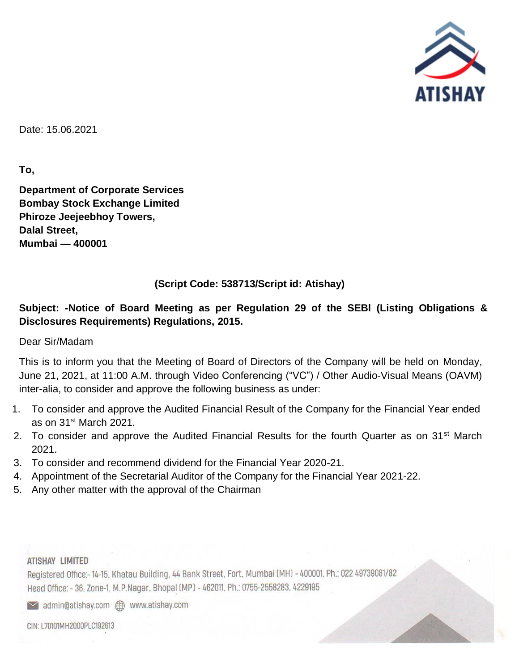

Date: 15.06.2021

**To,** 

**Department of Corporate Services Bombay Stock Exchange Limited Phiroze Jeejeebhoy Towers, Dalal Street, Mumbai — 400001**

## **(Script Code: 538713/Script id: Atishay)**

## **Subject: -Notice of Board Meeting as per Regulation 29 of the SEBl (Listing Obligations & Disclosures Requirements) Regulations, 2015.**

Dear Sir/Madam

This is to inform you that the Meeting of Board of Directors of the Company will be held on Monday, June 21, 2021, at 11:00 A.M. through Video Conferencing ("VC") / Other Audio-Visual Means (OAVM) inter-alia, to consider and approve the following business as under:

- 1. To consider and approve the Audited Financial Result of the Company for the Financial Year ended as on 31st March 2021.
- 2. To consider and approve the Audited Financial Results for the fourth Quarter as on 31<sup>st</sup> March 2021.
- 3. To consider and recommend dividend for the Financial Year 2020-21.
- 4. Appointment of the Secretarial Auditor of the Company for the Financial Year 2021-22.
- 5. Any other matter with the approval of the Chairman

## ATISHAY LIMITED

Registered Office:-14-15, Khatau Building, 44 Bank Street, Fort, Mumbai (MH) - 400001, Ph.: 022 49739081/82 Head Office: - 36, Zone-1, M.P.Nagar, Bhopal (MP) - 462011, Ph.: 0755-2558283, 4229195

admin@atishay.com **com** www.atishay.com

CIN: L70101MH2000PLC192613